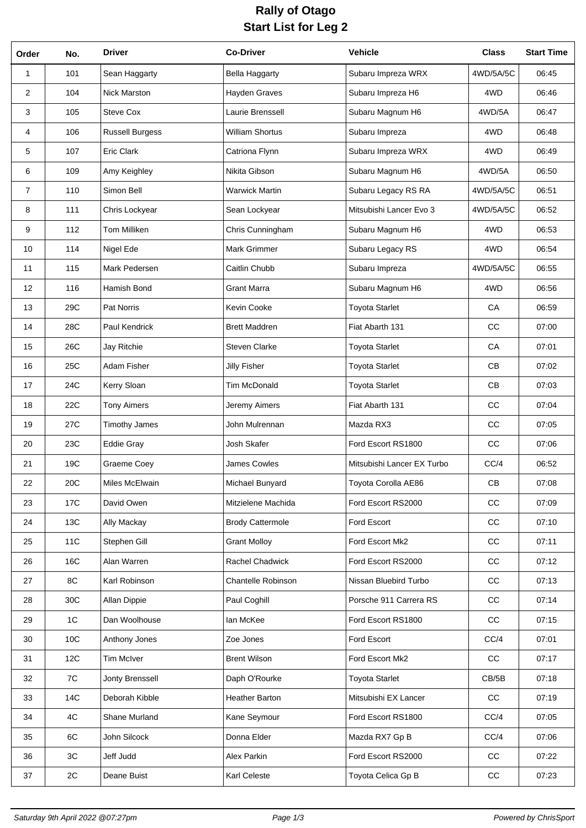## **Rally of Otago Start List for Leg 2**

| Order          | No. | <b>Driver</b>          | <b>Co-Driver</b>        | Vehicle                    | <b>Class</b>  | <b>Start Time</b> |
|----------------|-----|------------------------|-------------------------|----------------------------|---------------|-------------------|
| 1              | 101 | Sean Haggarty          | <b>Bella Haggarty</b>   | Subaru Impreza WRX         | 4WD/5A/5C     | 06:45             |
| $\overline{2}$ | 104 | Nick Marston           | Hayden Graves           | Subaru Impreza H6          | 4WD           | 06:46             |
| 3              | 105 | Steve Cox              | Laurie Brenssell        | Subaru Magnum H6           | 4WD/5A        | 06:47             |
| 4              | 106 | <b>Russell Burgess</b> | <b>William Shortus</b>  | Subaru Impreza             | 4WD           | 06:48             |
| 5              | 107 | Eric Clark             | Catriona Flynn          | Subaru Impreza WRX         | 4WD           | 06:49             |
| 6              | 109 | Amy Keighley           | Nikita Gibson           | Subaru Magnum H6           | 4WD/5A        | 06:50             |
| $\overline{7}$ | 110 | Simon Bell             | <b>Warwick Martin</b>   | Subaru Legacy RS RA        | 4WD/5A/5C     | 06:51             |
| 8              | 111 | Chris Lockyear         | Sean Lockyear           | Mitsubishi Lancer Evo 3    | 4WD/5A/5C     | 06:52             |
| 9              | 112 | <b>Tom Milliken</b>    | Chris Cunningham        | Subaru Magnum H6           | 4WD           | 06:53             |
| 10             | 114 | Nigel Ede              | <b>Mark Grimmer</b>     | Subaru Legacy RS           | 4WD           | 06:54             |
| 11             | 115 | Mark Pedersen          | Caitlin Chubb           | Subaru Impreza             | 4WD/5A/5C     | 06:55             |
| 12             | 116 | Hamish Bond            | <b>Grant Marra</b>      | Subaru Magnum H6           | 4WD           | 06:56             |
| 13             | 29C | Pat Norris             | Kevin Cooke             | <b>Toyota Starlet</b>      | CA            | 06:59             |
| 14             | 28C | Paul Kendrick          | <b>Brett Maddren</b>    | Fiat Abarth 131            | CC            | 07:00             |
| 15             | 26C | Jay Ritchie            | <b>Steven Clarke</b>    | <b>Toyota Starlet</b>      | CA            | 07:01             |
| 16             | 25C | Adam Fisher            | Jilly Fisher            | <b>Toyota Starlet</b>      | CB            | 07:02             |
| 17             | 24C | Kerry Sloan            | <b>Tim McDonald</b>     | <b>Toyota Starlet</b>      | CB            | 07:03             |
| 18             | 22C | <b>Tony Aimers</b>     | Jeremy Aimers           | Fiat Abarth 131            | CC            | 07:04             |
| 19             | 27C | <b>Timothy James</b>   | John Mulrennan          | Mazda RX3                  | cc            | 07:05             |
| 20             | 23C | <b>Eddie Gray</b>      | Josh Skafer             | Ford Escort RS1800         | cc            | 07:06             |
| 21             | 19C | Graeme Coey            | James Cowles            | Mitsubishi Lancer EX Turbo | CC/4          | 06:52             |
| 22             | 20C | Miles McElwain         | Michael Bunyard         | Toyota Corolla AE86        | $\mathsf{CB}$ | 07:08             |
| 23             | 17C | David Owen             | Mitzielene Machida      | Ford Escort RS2000         | cc            | 07:09             |
| 24             | 13C | Ally Mackay            | <b>Brody Cattermole</b> | Ford Escort                | $_{\rm CC}$   | 07:10             |
| 25             | 11C | Stephen Gill           | <b>Grant Molloy</b>     | Ford Escort Mk2            | $_{\rm CC}$   | 07:11             |
| 26             | 16C | Alan Warren            | Rachel Chadwick         | Ford Escort RS2000         | $_{\rm CC}$   | 07:12             |
| 27             | 8C  | Karl Robinson          | Chantelle Robinson      | Nissan Bluebird Turbo      | cc            | 07:13             |
| 28             | 30C | Allan Dippie           | Paul Coghill            | Porsche 911 Carrera RS     | cc            | 07:14             |
| 29             | 1C  | Dan Woolhouse          | lan McKee               | Ford Escort RS1800         | $_{\rm CC}$   | 07:15             |
| 30             | 10C | Anthony Jones          | Zoe Jones               | Ford Escort                | CC/4          | 07:01             |
| 31             | 12C | Tim McIver             | <b>Brent Wilson</b>     | Ford Escort Mk2            | cc            | 07:17             |
| 32             | 7C  | Jonty Brenssell        | Daph O'Rourke           | <b>Toyota Starlet</b>      | CB/5B         | 07:18             |
| 33             | 14C | Deborah Kibble         | Heather Barton          | Mitsubishi EX Lancer       | $_{\rm CC}$   | 07:19             |
| 34             | 4C  | Shane Murland          | Kane Seymour            | Ford Escort RS1800         | CC/4          | 07:05             |
| 35             | 6C  | John Silcock           | Donna Elder             | Mazda RX7 Gp B             | CC/4          | 07:06             |
| 36             | 3C  | Jeff Judd              | Alex Parkin             | Ford Escort RS2000         | cc            | 07:22             |
| 37             | 2C  | Deane Buist            | Karl Celeste            | Toyota Celica Gp B         | $_{\rm CC}$   | 07:23             |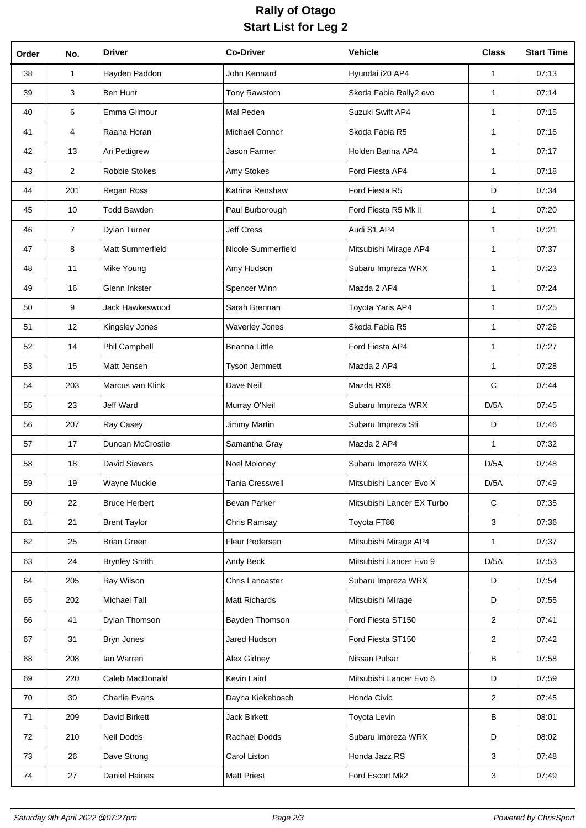## **Rally of Otago Start List for Leg 2**

| Order | No.            | <b>Driver</b>        | <b>Co-Driver</b>      | <b>Vehicle</b>             | <b>Class</b>   | <b>Start Time</b> |
|-------|----------------|----------------------|-----------------------|----------------------------|----------------|-------------------|
| 38    | 1              | Hayden Paddon        | John Kennard          | Hyundai i20 AP4            | 1              | 07:13             |
| 39    | 3              | Ben Hunt             | Tony Rawstorn         | Skoda Fabia Rally2 evo     | $\mathbf{1}$   | 07:14             |
| 40    | 6              | Emma Gilmour         | Mal Peden             | Suzuki Swift AP4           | $\mathbf{1}$   | 07:15             |
| 41    | 4              | Raana Horan          | Michael Connor        | Skoda Fabia R5             | $\mathbf{1}$   | 07:16             |
| 42    | 13             | Ari Pettigrew        | Jason Farmer          | Holden Barina AP4          | $\mathbf{1}$   | 07:17             |
| 43    | $\overline{2}$ | <b>Robbie Stokes</b> | Amy Stokes            | Ford Fiesta AP4            | $\mathbf{1}$   | 07:18             |
| 44    | 201            | Regan Ross           | Katrina Renshaw       | Ford Fiesta R5             | D              | 07:34             |
| 45    | 10             | <b>Todd Bawden</b>   | Paul Burborough       | Ford Fiesta R5 Mk II       | $\mathbf{1}$   | 07:20             |
| 46    | $\overline{7}$ | Dylan Turner         | <b>Jeff Cress</b>     | Audi S1 AP4                | $\mathbf{1}$   | 07:21             |
| 47    | 8              | Matt Summerfield     | Nicole Summerfield    | Mitsubishi Mirage AP4      | $\mathbf{1}$   | 07:37             |
| 48    | 11             | Mike Young           | Amy Hudson            | Subaru Impreza WRX         | $\mathbf{1}$   | 07:23             |
| 49    | 16             | Glenn Inkster        | Spencer Winn          | Mazda 2 AP4                | $\mathbf{1}$   | 07:24             |
| 50    | 9              | Jack Hawkeswood      | Sarah Brennan         | Toyota Yaris AP4           | $\mathbf{1}$   | 07:25             |
| 51    | 12             | Kingsley Jones       | <b>Waverley Jones</b> | Skoda Fabia R5             | $\mathbf{1}$   | 07:26             |
| 52    | 14             | Phil Campbell        | <b>Brianna Little</b> | Ford Fiesta AP4            | $\mathbf{1}$   | 07:27             |
| 53    | 15             | Matt Jensen          | Tyson Jemmett         | Mazda 2 AP4                | $\mathbf{1}$   | 07:28             |
| 54    | 203            | Marcus van Klink     | Dave Neill            | Mazda RX8                  | $\mathsf{C}$   | 07:44             |
| 55    | 23             | Jeff Ward            | Murray O'Neil         | Subaru Impreza WRX         | D/5A           | 07:45             |
| 56    | 207            | Ray Casey            | Jimmy Martin          | Subaru Impreza Sti         | D              | 07:46             |
| 57    | 17             | Duncan McCrostie     | Samantha Gray         | Mazda 2 AP4                | $\mathbf{1}$   | 07:32             |
| 58    | 18             | <b>David Sievers</b> | Noel Moloney          | Subaru Impreza WRX         | D/5A           | 07:48             |
| 59    | 19             | Wayne Muckle         | Tania Cresswell       | Mitsubishi Lancer Evo X    | D/5A           | 07:49             |
| 60    | 22             | <b>Bruce Herbert</b> | Bevan Parker          | Mitsubishi Lancer EX Turbo | ${\bf C}$      | 07:35             |
| 61    | 21             | <b>Brent Taylor</b>  | Chris Ramsay          | Toyota FT86                | 3              | 07:36             |
| 62    | 25             | <b>Brian Green</b>   | Fleur Pedersen        | Mitsubishi Mirage AP4      | $\mathbf{1}$   | 07:37             |
| 63    | 24             | <b>Brynley Smith</b> | Andy Beck             | Mitsubishi Lancer Evo 9    | D/5A           | 07:53             |
| 64    | 205            | Ray Wilson           | Chris Lancaster       | Subaru Impreza WRX         | D              | 07:54             |
| 65    | 202            | Michael Tall         | Matt Richards         | Mitsubishi MIrage          | D              | 07:55             |
| 66    | 41             | Dylan Thomson        | Bayden Thomson        | Ford Fiesta ST150          | $\overline{2}$ | 07:41             |
| 67    | 31             | Bryn Jones           | Jared Hudson          | Ford Fiesta ST150          | 2              | 07:42             |
| 68    | 208            | lan Warren           | Alex Gidney           | Nissan Pulsar              | B              | 07:58             |
| 69    | 220            | Caleb MacDonald      | Kevin Laird           | Mitsubishi Lancer Evo 6    | D              | 07:59             |
| 70    | 30             | <b>Charlie Evans</b> | Dayna Kiekebosch      | Honda Civic                | 2              | 07:45             |
| 71    | 209            | David Birkett        | <b>Jack Birkett</b>   | Toyota Levin               | B              | 08:01             |
| 72    | 210            | Neil Dodds           | Rachael Dodds         | Subaru Impreza WRX         | D              | 08:02             |
| 73    | 26             | Dave Strong          | Carol Liston          | Honda Jazz RS              | 3              | 07:48             |
| 74    | 27             | Daniel Haines        | <b>Matt Priest</b>    | Ford Escort Mk2            | 3              | 07:49             |